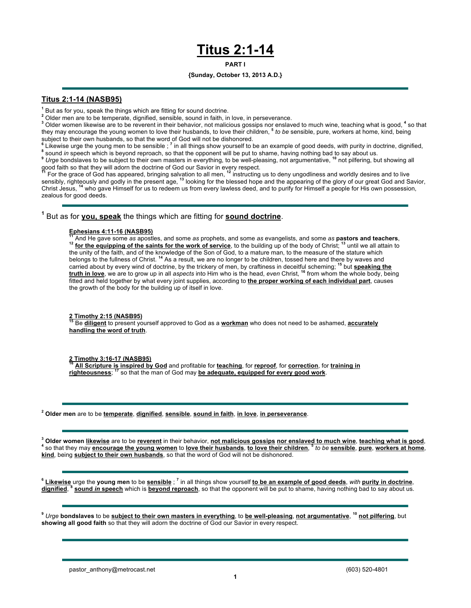# **Titus 2:1-14**

### **PART I**

## **{Sunday, October 13, 2013 A.D.}**

# **Titus 2:1-14 (NASB95)**

**<sup>1</sup>** But as for you, speak the things which are fitting for sound doctrine.

**<sup>2</sup>** Older men are to be temperate, dignified, sensible, sound in faith, in love, in perseverance.

**<sup>3</sup>** Older women likewise are to be reverent in their behavior, not malicious gossips nor enslaved to much wine, teaching what is good, **<sup>4</sup>** so that they may encourage the young women to love their husbands, to love their children, **<sup>5</sup>** *to be* sensible, pure, workers at home, kind, being

subject to their own husbands, so that the word of God will not be dishonored.<br><sup>6</sup> Likewise urge the young men to be sensible ; <sup>7</sup> in all things show yourself to be an example of good deeds, *with* purity in doctrine, dig

good faith so that they will adorn the doctrine of God our Savior in every respect.<br><sup>11</sup> For the grace of God has appeared, bringing salvation to all men, <sup>12</sup> instructing us to deny ungodliness and worldly desires and to sensibly, righteously and godly in the present age, **<sup>13</sup>** looking for the blessed hope and the appearing of the glory of our great God and Savior, Christ Jesus, **<sup>14</sup>** who gave Himself for us to redeem us from every lawless deed, and to purify for Himself a people for His own possession, zealous for good deeds.

**<sup>1</sup>** But as for **you, speak** the things which are fitting for **sound doctrine**.

**Ephesians 4:11-16 (NASB95)**<br><sup>11</sup> And He gave some as apostles, and some as prophets, and some as evangelists, and some as **pastors and teachers**,<br><sup>12</sup> for the equipping of the saints for the work of service, to the buildi the unity of the faith, and of the knowledge of the Son of God, to a mature man, to the measure of the stature which<br>belongs to the fullness of Christ. <sup>14</sup> As a result, we are no longer to be children, tossed here and the carried about by every wind of doctrine, by the trickery of men, by craftiness in deceitful scheming; **<sup>15</sup>** but **speaking the truth in love**, we are to grow up in all *aspects* into Him who is the head, *even* Christ, **<sup>16</sup>** from whom the whole body, being fitted and held together by what every joint supplies, according to **the proper working of each individual part**, causes the growth of the body for the building up of itself in love.

**2 Timothy 2:15 (NASB95) <sup>15</sup>** Be **diligent** to present yourself approved to God as a **workman** who does not need to be ashamed, **accurately handling the word of truth**.

**2 Timothy 3:16-17 (NASB95) <sup>16</sup> All Scripture is inspired by God** and profitable for **teaching**, for **reproof**, for **correction**, for **training in righteousness**; **<sup>17</sup>** so that the man of God may **be adequate, equipped for every good work**.

**<sup>2</sup> Older men** are to be **temperate**, **dignified**, **sensible**, **sound in faith**, **in love**, **in perseverance**.

<sup>3</sup> Older women <u>likewise</u> are to be <u>reverent</u> in their behavior, not malicious gossips nor enslaved to much wine, teaching what is good,<br><sup>4</sup> so that they may encourage the young women to <u>love their husbands, to love the</u> **kind**, being **subject to their own husbands**, so that the word of God will not be dishonored.

**<sup>6</sup> Likewise** urge the **young men** to be **sensible** ; **<sup>7</sup>** in all things show yourself **to be an example of good deeds**, *with* **purity in doctrine**, **dignified**, **<sup>8</sup> sound** *in* **speech** which is **beyond reproach**, so that the opponent will be put to shame, having nothing bad to say about us.

**<sup>9</sup>** *Urge* **bondslaves** to be **subject to their own masters in everything**, to **be well-pleasing**, **not argumentative**, **<sup>10</sup> not pilfering**, but **showing all good faith** so that they will adorn the doctrine of God our Savior in every respect.